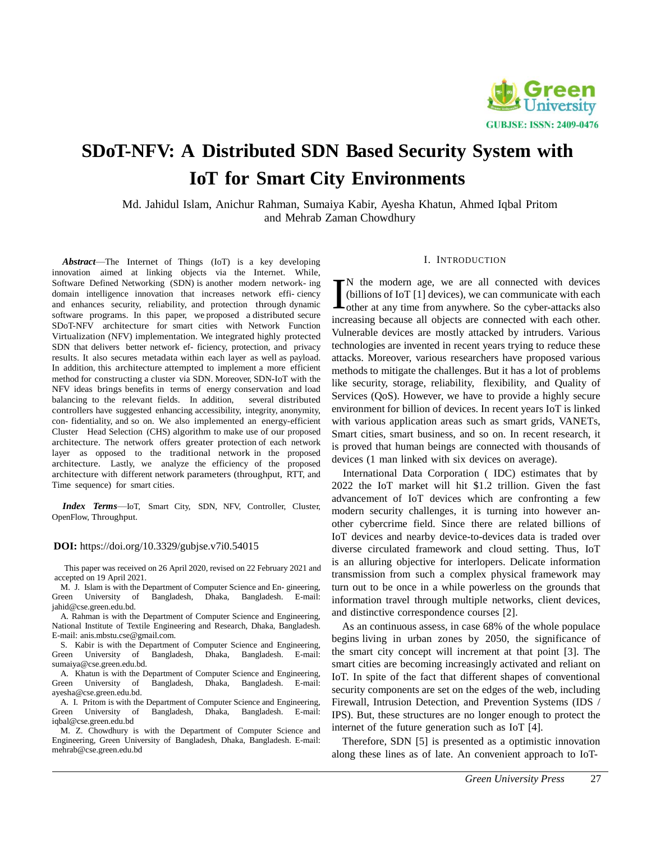

# **SDoT-NFV: A Distributed SDN Based Security System with IoT for Smart City Environments**

Md. Jahidul Islam, Anichur Rahman, Sumaiya Kabir, Ayesha Khatun, Ahmed Iqbal Pritom and Mehrab Zaman Chowdhury

*Abstract*—The Internet of Things (IoT) is a key developing innovation aimed at linking objects via the Internet. While, Software Defined Networking (SDN) is another modern network- ing domain intelligence innovation that increases network effi- ciency and enhances security, reliability, and protection through dynamic software programs. In this paper, we proposed a distributed secure SDoT-NFV architecture for smart cities with Network Function Virtualization (NFV) implementation. We integrated highly protected SDN that delivers better network ef- ficiency, protection, and privacy results. It also secures metadata within each layer as well as payload. In addition, this architecture attempted to implement a more efficient method for constructing a cluster via SDN. Moreover, SDN-IoT with the NFV ideas brings benefits in terms of energy conservation and load balancing to the relevant fields. In addition, several distributed controllers have suggested enhancing accessibility, integrity, anonymity, con- fidentiality, and so on. We also implemented an energy-efficient Cluster Head Selection (CHS) algorithm to make use of our proposed architecture. The network offers greater protection of each network layer as opposed to the traditional network in the proposed architecture. Lastly, we analyze the efficiency of the proposed architecture with different network parameters (throughput, RTT, and Time sequence) for smart cities.

*Index Terms*—IoT, Smart City, SDN, NFV, Controller, Cluster, OpenFlow, Throughput.

#### **DOI:** https://doi.org/10.3329/gubjse.v7i0.54015

This paper was received on 26 April 2020, revised on 22 February 2021 and accepted on 19 April 2021.

M. J. Islam is with the Department of Computer Science and En- gineering, Green University of Bangladesh, Dhaka, Bangladesh. E-mai[l:](mailto:jahid@cse.green.edu.bd) [jahid@cse.green.edu.bd.](mailto:jahid@cse.green.edu.bd)

A. Rahman is with the Department of Computer Science and Engineering, National Institute of Textile Engineering and Research, Dhaka, Bangladesh. E-mail: [anis.mbstu.cse@gmail.com.](mailto:cse@gmail.com)

S. Kabir is with the Department of Computer Science and Engineering, Green University of Bangladesh, Dhaka, Bangladesh. E-mail: Bangladesh, Dhaka, Bangladesh. E-mai[l:](mailto:sumaiya@cse.green.edu.bd) [sumaiya@cse.green.edu.bd.](mailto:sumaiya@cse.green.edu.bd)

A. Khatun is with the Department of Computer Science and Engineering, Green University of Bangladesh, Dhaka, Bangladesh. E-mai[l:](mailto:ayesha@cse.green.edu.bd) [ayesha@cse.green.edu.bd.](mailto:ayesha@cse.green.edu.bd)

A. I. Pritom is with the Department of Computer Science and Engineering, een University of Bangladesh, Dhaka, Bangladesh. E-mail: Green University of Bangladesh, Dhaka, Bangladesh. E-mai[l:](mailto:iqbal@cse.green.edu.bd) [iqbal@cse.green.edu.bd](mailto:iqbal@cse.green.edu.bd)

M. Z. Chowdhury is with the Department of Computer Science and Engineering, Green University of Bangladesh, Dhaka, Bangladesh. E-mai[l:](mailto:mehrab@cse.green.edu.bd) [mehrab@cse.green.edu.bd](mailto:mehrab@cse.green.edu.bd)

#### I. INTRODUCTION

N the modern age, we are all connected with devices (billions of IoT [1] devices), we can communicate with each The modern age, we are all connected with devices<br>
(billions of IoT [1] devices), we can communicate with each<br>
other at any time from anywhere. So the cyber-attacks also increasing because all objects are connected with each other. Vulnerable devices are mostly attacked by intruders. Various technologies are invented in recent years trying to reduce these attacks. Moreover, various researchers have proposed various methods to mitigate the challenges. But it has a lot of problems like security, storage, reliability, flexibility, and Quality of Services (QoS). However, we have to provide a highly secure environment for billion of devices. In recent years IoT is linked with various application areas such as smart grids, VANETs, Smart cities, smart business, and so on. In recent research, it is proved that human beings are connected with thousands of devices (1 man linked with six devices on average).

International Data Corporation ( IDC) estimates that by 2022 the IoT market will hit \$1.2 trillion. Given the fast advancement of IoT devices which are confronting a few modern security challenges, it is turning into however another cybercrime field. Since there are related billions of IoT devices and nearby device-to-devices data is traded over diverse circulated framework and cloud setting. Thus, IoT is an alluring objective for interlopers. Delicate information transmission from such a complex physical framework may turn out to be once in a while powerless on the grounds that information travel through multiple networks, client devices, and distinctive correspondence courses [2].

As an continuous assess, in case 68% of the whole populace begins living in urban zones by 2050, the significance of the smart city concept will increment at that point [3]. The smart cities are becoming increasingly activated and reliant on IoT. In spite of the fact that different shapes of conventional security components are set on the edges of the web, including Firewall, Intrusion Detection, and Prevention Systems (IDS / IPS). But, these structures are no longer enough to protect the internet of the future generation such as IoT [4].

Therefore, SDN [5] is presented as a optimistic innovation along these lines as of late. An convenient approach to IoT-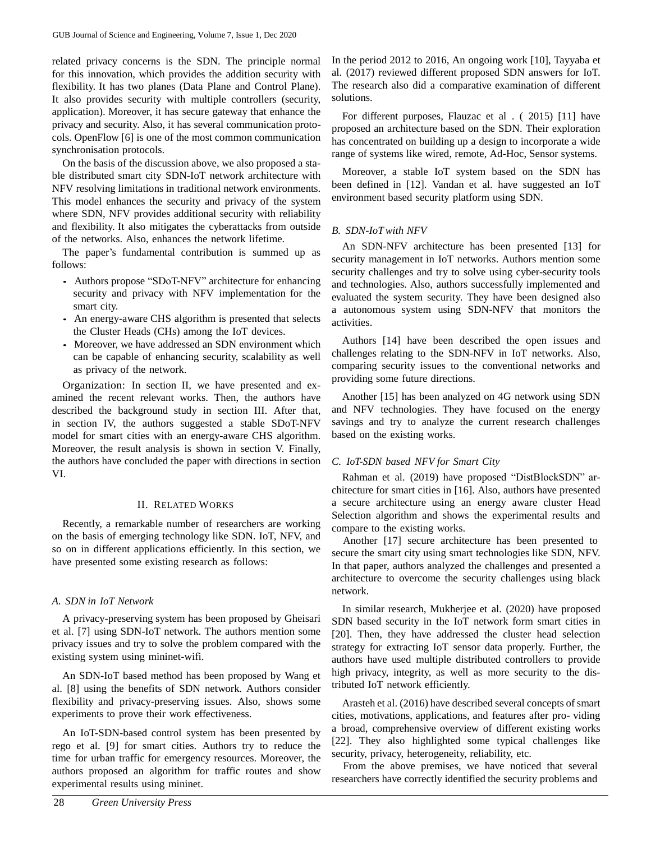related privacy concerns is the SDN. The principle normal for this innovation, which provides the addition security with flexibility. It has two planes (Data Plane and Control Plane). It also provides security with multiple controllers (security, application). Moreover, it has secure gateway that enhance the privacy and security. Also, it has several communication protocols. OpenFlow [6] is one of the most common communication synchronisation protocols.

On the basis of the discussion above, we also proposed a stable distributed smart city SDN-IoT network architecture with NFV resolving limitations in traditional network environments. This model enhances the security and privacy of the system where SDN, NFV provides additional security with reliability and flexibility. It also mitigates the cyberattacks from outside of the networks. Also, enhances the network lifetime.

The paper's fundamental contribution is summed up as follows:

- Authors propose "SDoT-NFV" architecture for enhancing security and privacy with NFV implementation for the smart city.
- An energy-aware CHS algorithm is presented that selects the Cluster Heads (CHs) among the IoT devices.
- Moreover, we have addressed an SDN environment which can be capable of enhancing security, scalability as well as privacy of the network.

Organization: In section II, we have presented and examined the recent relevant works. Then, the authors have described the background study in section III. After that, in section IV, the authors suggested a stable SDoT-NFV model for smart cities with an energy-aware CHS algorithm. Moreover, the result analysis is shown in section V. Finally, the authors have concluded the paper with directions in section VI.

## II. RELATED WORKS

Recently, a remarkable number of researchers are working on the basis of emerging technology like SDN. IoT, NFV, and so on in different applications efficiently. In this section, we have presented some existing research as follows:

# *A. SDN in IoT Network*

A privacy-preserving system has been proposed by Gheisari et al. [7] using SDN-IoT network. The authors mention some privacy issues and try to solve the problem compared with the existing system using mininet-wifi.

An SDN-IoT based method has been proposed by Wang et al. [8] using the benefits of SDN network. Authors consider flexibility and privacy-preserving issues. Also, shows some experiments to prove their work effectiveness.

An IoT-SDN-based control system has been presented by rego et al. [9] for smart cities. Authors try to reduce the time for urban traffic for emergency resources. Moreover, the authors proposed an algorithm for traffic routes and show experimental results using mininet.

In the period 2012 to 2016, An ongoing work [10], Tayyaba et al. (2017) reviewed different proposed SDN answers for IoT. The research also did a comparative examination of different solutions.

For different purposes, Flauzac et al . ( 2015) [11] have proposed an architecture based on the SDN. Their exploration has concentrated on building up a design to incorporate a wide range of systems like wired, remote, Ad-Hoc, Sensor systems.

Moreover, a stable IoT system based on the SDN has been defined in [12]. Vandan et al. have suggested an IoT environment based security platform using SDN.

# *B. SDN-IoTwith NFV*

An SDN-NFV architecture has been presented [13] for security management in IoT networks. Authors mention some security challenges and try to solve using cyber-security tools and technologies. Also, authors successfully implemented and evaluated the system security. They have been designed also a autonomous system using SDN-NFV that monitors the activities.

Authors [14] have been described the open issues and challenges relating to the SDN-NFV in IoT networks. Also, comparing security issues to the conventional networks and providing some future directions.

Another [15] has been analyzed on 4G network using SDN and NFV technologies. They have focused on the energy savings and try to analyze the current research challenges based on the existing works.

## *C. IoT-SDN based NFV for Smart City*

Rahman et al. (2019) have proposed "DistBlockSDN" architecture for smart cities in [16]. Also, authors have presented a secure architecture using an energy aware cluster Head Selection algorithm and shows the experimental results and compare to the existing works.

Another [17] secure architecture has been presented to secure the smart city using smart technologies like SDN, NFV. In that paper, authors analyzed the challenges and presented a architecture to overcome the security challenges using black network.

In similar research, Mukherjee et al. (2020) have proposed SDN based security in the IoT network form smart cities in [20]. Then, they have addressed the cluster head selection strategy for extracting IoT sensor data properly. Further, the authors have used multiple distributed controllers to provide high privacy, integrity, as well as more security to the distributed IoT network efficiently.

Arasteh et al. (2016) have described several concepts of smart cities, motivations, applications, and features after pro- viding a broad, comprehensive overview of different existing works [22]. They also highlighted some typical challenges like security, privacy, heterogeneity, reliability, etc.

From the above premises, we have noticed that several researchers have correctly identified the security problems and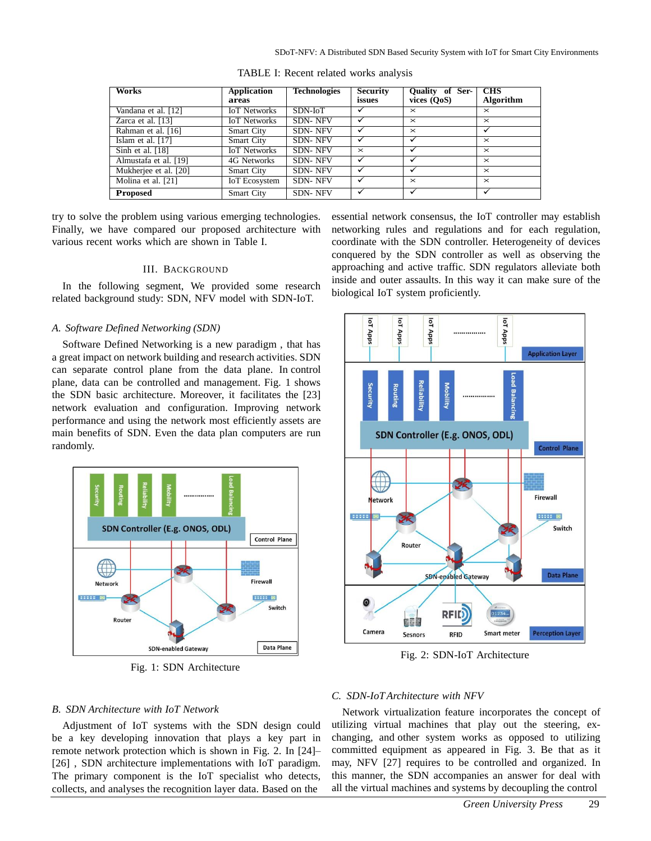| <b>Works</b>          | Application<br>areas | <b>Technologies</b> | <b>Security</b><br>issues | Quality of Ser-<br>vices (QoS) | <b>CHS</b><br>Algorithm |
|-----------------------|----------------------|---------------------|---------------------------|--------------------------------|-------------------------|
| Vandana et al. [12]   | <b>IoT</b> Networks  | SDN-IoT             |                           | $\times$                       | $\times$                |
| Zarca et al. [13]     | <b>IoT</b> Networks  | <b>SDN-NFV</b>      |                           | $\times$                       | $\times$                |
| Rahman et al. [16]    | <b>Smart City</b>    | <b>SDN-NFV</b>      |                           | $\times$                       |                         |
| Islam et al. $[17]$   | <b>Smart City</b>    | <b>SDN-NFV</b>      |                           | $\cdot$                        | $\times$                |
| Sinh et al. $[18]$    | <b>IoT</b> Networks  | <b>SDN-NFV</b>      | $\times$                  | $\checkmark$                   | $\times$                |
| Almustafa et al. [19] | 4G Networks          | <b>SDN-NFV</b>      |                           | $\cdot$                        | $\times$                |
| Mukherjee et al. [20] | <b>Smart City</b>    | <b>SDN-NFV</b>      |                           |                                | $\times$                |
| Molina et al. [21]    | <b>IoT</b> Ecosystem | <b>SDN-NFV</b>      | $\checkmark$              | $\times$                       | $\times$                |
| <b>Proposed</b>       | <b>Smart City</b>    | <b>SDN-NFV</b>      | $\checkmark$              | ✓                              | ✓                       |

TABLE I: Recent related works analysis

try to solve the problem using various emerging technologies. Finally, we have compared our proposed architecture with various recent works which are shown in Table I.

# III. BACKGROUND

In the following segment, We provided some research related background study: SDN, NFV model with SDN-IoT.

# *A. Software Defined Networking (SDN)*

Software Defined Networking is a new paradigm , that has a great impact on network building and research activities. SDN can separate control plane from the data plane. In control plane, data can be controlled and management. Fig. 1 shows the SDN basic architecture. Moreover, it facilitates the [23] network evaluation and configuration. Improving network performance and using the network most efficiently assets are main benefits of SDN. Even the data plan computers are run randomly.



Fig. 1: SDN Architecture

essential network consensus, the IoT controller may establish networking rules and regulations and for each regulation, coordinate with the SDN controller. Heterogeneity of devices conquered by the SDN controller as well as observing the approaching and active traffic. SDN regulators alleviate both inside and outer assaults. In this way it can make sure of the biological IoT system proficiently.



Fig. 2: SDN-IoT Architecture

## *B. SDN Architecture with IoT Network*

Adjustment of IoT systems with the SDN design could be a key developing innovation that plays a key part in remote network protection which is shown in Fig. 2. In [24]– [26] , SDN architecture implementations with IoT paradigm. The primary component is the IoT specialist who detects, collects, and analyses the recognition layer data. Based on the

# *C. SDN-IoT Architecture with NFV*

Network virtualization feature incorporates the concept of utilizing virtual machines that play out the steering, exchanging, and other system works as opposed to utilizing committed equipment as appeared in Fig. 3. Be that as it may, NFV [27] requires to be controlled and organized. In this manner, the SDN accompanies an answer for deal with all the virtual machines and systems by decoupling the control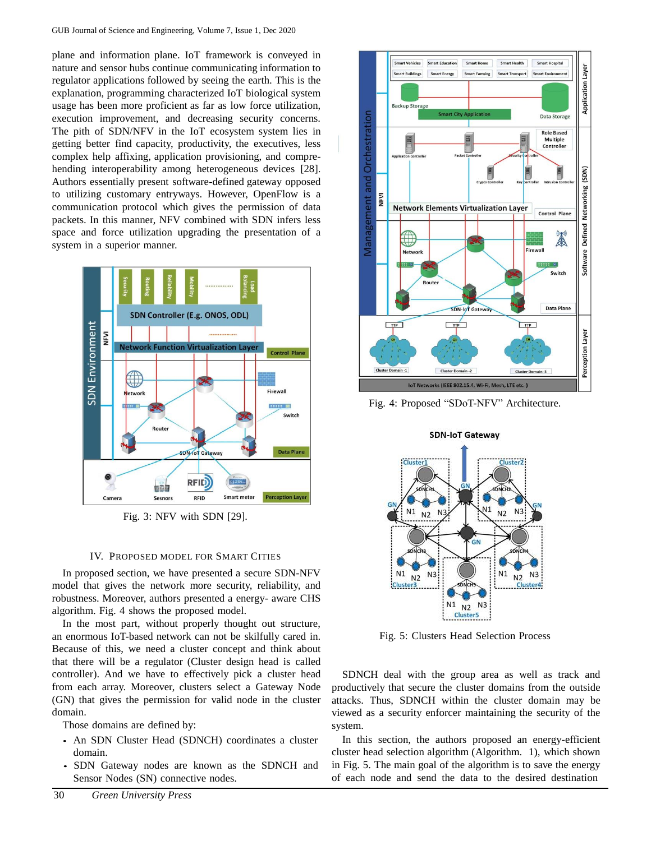plane and information plane. IoT framework is conveyed in nature and sensor hubs continue communicating information to regulator applications followed by seeing the earth. This is the explanation, programming characterized IoT biological system usage has been more proficient as far as low force utilization, execution improvement, and decreasing security concerns. The pith of SDN/NFV in the IoT ecosystem system lies in getting better find capacity, productivity, the executives, less complex help affixing, application provisioning, and comprehending interoperability among heterogeneous devices [28]. Authors essentially present software-defined gateway opposed to utilizing customary entryways. However, OpenFlow is a communication protocol which gives the permission of data packets. In this manner, NFV combined with SDN infers less space and force utilization upgrading the presentation of a system in a superior manner.



Fig. 3: NFV with SDN [29].

# IV. PROPOSED MODEL FOR SMART CITIES

In proposed section, we have presented a secure SDN-NFV model that gives the network more security, reliability, and robustness. Moreover, authors presented a energy- aware CHS algorithm. Fig. 4 shows the proposed model.

In the most part, without properly thought out structure, an enormous IoT-based network can not be skilfully cared in. Because of this, we need a cluster concept and think about that there will be a regulator (Cluster design head is called controller). And we have to effectively pick a cluster head from each array. Moreover, clusters select a Gateway Node (GN) that gives the permission for valid node in the cluster domain.

Those domains are defined by:

- An SDN Cluster Head (SDNCH) coordinates a cluster domain.
- SDN Gateway nodes are known as the SDNCH and Sensor Nodes (SN) connective nodes.



Fig. 4: Proposed "SDoT-NFV" Architecture.



Fig. 5: Clusters Head Selection Process

SDNCH deal with the group area as well as track and productively that secure the cluster domains from the outside attacks. Thus, SDNCH within the cluster domain may be viewed as a security enforcer maintaining the security of the system.

In this section, the authors proposed an energy-efficient cluster head selection algorithm (Algorithm. 1), which shown in Fig. 5. The main goal of the algorithm is to save the energy of each node and send the data to the desired destination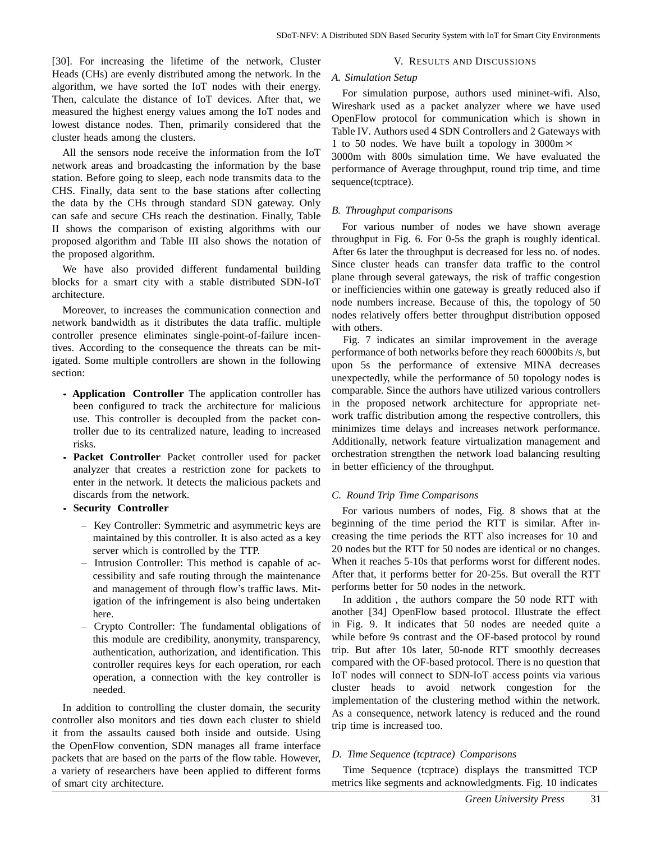[30]. For increasing the lifetime of the network, Cluster Heads (CHs) are evenly distributed among the network. In the algorithm, we have sorted the IoT nodes with their energy. Then, calculate the distance of IoT devices. After that, we measured the highest energy values among the IoT nodes and lowest distance nodes. Then, primarily considered that the cluster heads among the clusters.

All the sensors node receive the information from the IoT network areas and broadcasting the information by the base station. Before going to sleep, each node transmits data to the CHS. Finally, data sent to the base stations after collecting the data by the CHs through standard SDN gateway. Only can safe and secure CHs reach the destination. Finally, Table II shows the comparison of existing algorithms with our proposed algorithm and Table III also shows the notation of the proposed algorithm.

We have also provided different fundamental building blocks for a smart city with a stable distributed SDN-IoT architecture.

Moreover, to increases the communication connection and network bandwidth as it distributes the data traffic. multiple controller presence eliminates single-point-of-failure incentives. According to the consequence the threats can be mitigated. Some multiple controllers are shown in the following section:

- **Application Controller** The application controller has been configured to track the architecture for malicious use. This controller is decoupled from the packet controller due to its centralized nature, leading to increased risks.
- **Packet Controller** Packet controller used for packet analyzer that creates a restriction zone for packets to enter in the network. It detects the malicious packets and discards from the network.
- **Security Controller**
	- Key Controller: Symmetric and asymmetric keys are maintained by this controller. It is also acted as a key server which is controlled by the TTP.
	- Intrusion Controller: This method is capable of accessibility and safe routing through the maintenance and management of through flow's traffic laws. Mitigation of the infringement is also being undertaken here.
	- Crypto Controller: The fundamental obligations of this module are credibility, anonymity, transparency, authentication, authorization, and identification. This controller requires keys for each operation, ror each operation, a connection with the key controller is needed.

In addition to controlling the cluster domain, the security controller also monitors and ties down each cluster to shield it from the assaults caused both inside and outside. Using the OpenFlow convention, SDN manages all frame interface packets that are based on the parts of the flow table. However, a variety of researchers have been applied to different forms of smart city architecture.

## V. RESULTS AND DISCUSSIONS

# *A. Simulation Setup*

For simulation purpose, authors used mininet-wifi. Also, Wireshark used as a packet analyzer where we have used OpenFlow protocol for communication which is shown in Table IV. Authors used 4 SDN Controllers and 2 Gateways with 1 to 50 nodes. We have built a topology in  $3000 \text{m} \times$ 

3000m with 800s simulation time. We have evaluated the performance of Average throughput, round trip time, and time sequence(tcptrace).

# *B. Throughput comparisons*

For various number of nodes we have shown average throughput in Fig. 6. For 0-5s the graph is roughly identical. After 6s later the throughput is decreased for less no. of nodes. Since cluster heads can transfer data traffic to the control plane through several gateways, the risk of traffic congestion or inefficiencies within one gateway is greatly reduced also if node numbers increase. Because of this, the topology of 50 nodes relatively offers better throughput distribution opposed with others.

Fig. 7 indicates an similar improvement in the average performance of both networks before they reach 6000bits /s, but upon 5s the performance of extensive MINA decreases unexpectedly, while the performance of 50 topology nodes is comparable. Since the authors have utilized various controllers in the proposed network architecture for appropriate network traffic distribution among the respective controllers, this minimizes time delays and increases network performance. Additionally, network feature virtualization management and orchestration strengthen the network load balancing resulting in better efficiency of the throughput.

## *C. Round Trip Time Comparisons*

For various numbers of nodes, Fig. 8 shows that at the beginning of the time period the RTT is similar. After increasing the time periods the RTT also increases for 10 and 20 nodes but the RTT for 50 nodes are identical or no changes. When it reaches 5-10s that performs worst for different nodes. After that, it performs better for 20-25s. But overall the RTT performs better for 50 nodes in the network.

In addition , the authors compare the 50 node RTT with another [34] OpenFlow based protocol. Illustrate the effect in Fig. 9. It indicates that 50 nodes are needed quite a while before 9s contrast and the OF-based protocol by round trip. But after 10s later, 50-node RTT smoothly decreases compared with the OF-based protocol. There is no question that IoT nodes will connect to SDN-IoT access points via various cluster heads to avoid network congestion for the implementation of the clustering method within the network. As a consequence, network latency is reduced and the round trip time is increased too.

# *D. Time Sequence (tcptrace) Comparisons*

Time Sequence (tcptrace) displays the transmitted TCP metrics like segments and acknowledgments. Fig. 10 indicates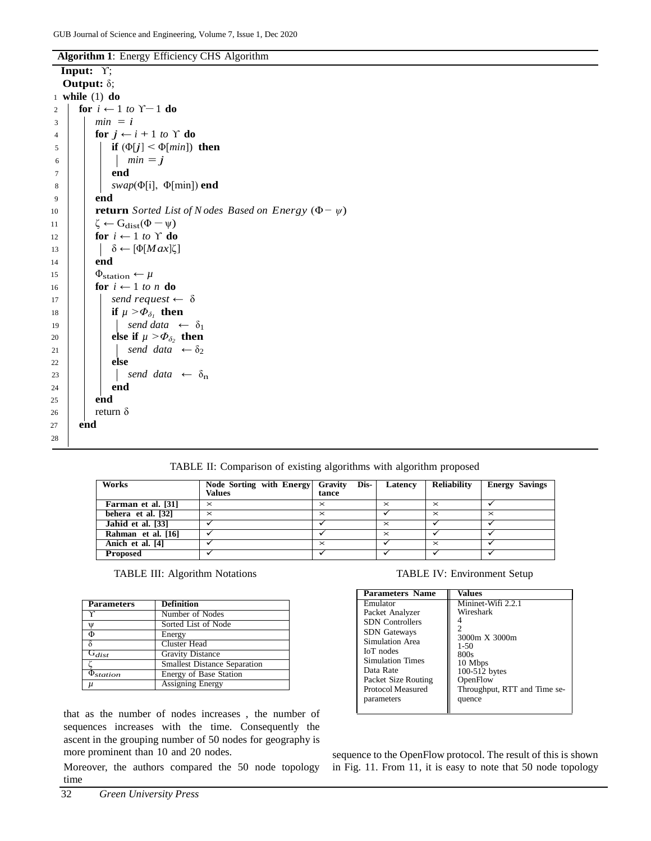**Algorithm 1**: Energy Efficiency CHS Algorithm

| Output: $\delta$ ;<br>$1$ while $(1)$ do<br>for $i \leftarrow 1$ to $\Upsilon - 1$ do<br>2<br>$min = i$<br>3<br>for $j \leftarrow i + 1$ to Y do<br>4<br>if $(\Phi[i] < \Phi[\text{min}])$ then<br>5<br>$min = j$<br>6<br>end<br>7<br>$swap(\Phi[i], \Phi[\min])$ end<br>8<br>end<br>9<br><b>return</b> Sorted List of N odes Based on Energy $(\Phi - \psi)$<br>10<br>$\zeta \leftarrow G_{dist}(\Phi - \psi)$<br>11<br>for $i \leftarrow 1$ to $\Upsilon$ do<br>12<br>$ \delta \leftarrow [\Phi[Max]\zeta]$<br>13<br>end<br>14<br>$\Phi_{\text{station}} \leftarrow \mu$<br>15<br>for $i \leftarrow 1$ to n do<br>16<br>send request $\leftarrow \delta$<br>17<br>if $\mu > \Phi_{\delta}$ , then<br>18<br>send data $\leftarrow \delta_1$<br>19<br>else if $\mu > \Phi_{\delta_2}$ then<br>20<br>send data $\leftarrow \delta_2$<br>21<br>else<br>22<br>send data $\leftarrow \delta_n$<br>23<br>end<br>24<br>end<br>25<br>return $\delta$<br>26<br>end<br>27 |    | Input: $Y$ ; |  |
|------------------------------------------------------------------------------------------------------------------------------------------------------------------------------------------------------------------------------------------------------------------------------------------------------------------------------------------------------------------------------------------------------------------------------------------------------------------------------------------------------------------------------------------------------------------------------------------------------------------------------------------------------------------------------------------------------------------------------------------------------------------------------------------------------------------------------------------------------------------------------------------------------------------------------------------------------------------|----|--------------|--|
|                                                                                                                                                                                                                                                                                                                                                                                                                                                                                                                                                                                                                                                                                                                                                                                                                                                                                                                                                                  |    |              |  |
|                                                                                                                                                                                                                                                                                                                                                                                                                                                                                                                                                                                                                                                                                                                                                                                                                                                                                                                                                                  |    |              |  |
|                                                                                                                                                                                                                                                                                                                                                                                                                                                                                                                                                                                                                                                                                                                                                                                                                                                                                                                                                                  |    |              |  |
|                                                                                                                                                                                                                                                                                                                                                                                                                                                                                                                                                                                                                                                                                                                                                                                                                                                                                                                                                                  |    |              |  |
|                                                                                                                                                                                                                                                                                                                                                                                                                                                                                                                                                                                                                                                                                                                                                                                                                                                                                                                                                                  |    |              |  |
|                                                                                                                                                                                                                                                                                                                                                                                                                                                                                                                                                                                                                                                                                                                                                                                                                                                                                                                                                                  |    |              |  |
|                                                                                                                                                                                                                                                                                                                                                                                                                                                                                                                                                                                                                                                                                                                                                                                                                                                                                                                                                                  |    |              |  |
|                                                                                                                                                                                                                                                                                                                                                                                                                                                                                                                                                                                                                                                                                                                                                                                                                                                                                                                                                                  |    |              |  |
|                                                                                                                                                                                                                                                                                                                                                                                                                                                                                                                                                                                                                                                                                                                                                                                                                                                                                                                                                                  |    |              |  |
|                                                                                                                                                                                                                                                                                                                                                                                                                                                                                                                                                                                                                                                                                                                                                                                                                                                                                                                                                                  |    |              |  |
|                                                                                                                                                                                                                                                                                                                                                                                                                                                                                                                                                                                                                                                                                                                                                                                                                                                                                                                                                                  |    |              |  |
|                                                                                                                                                                                                                                                                                                                                                                                                                                                                                                                                                                                                                                                                                                                                                                                                                                                                                                                                                                  |    |              |  |
|                                                                                                                                                                                                                                                                                                                                                                                                                                                                                                                                                                                                                                                                                                                                                                                                                                                                                                                                                                  |    |              |  |
|                                                                                                                                                                                                                                                                                                                                                                                                                                                                                                                                                                                                                                                                                                                                                                                                                                                                                                                                                                  |    |              |  |
|                                                                                                                                                                                                                                                                                                                                                                                                                                                                                                                                                                                                                                                                                                                                                                                                                                                                                                                                                                  |    |              |  |
|                                                                                                                                                                                                                                                                                                                                                                                                                                                                                                                                                                                                                                                                                                                                                                                                                                                                                                                                                                  |    |              |  |
|                                                                                                                                                                                                                                                                                                                                                                                                                                                                                                                                                                                                                                                                                                                                                                                                                                                                                                                                                                  |    |              |  |
|                                                                                                                                                                                                                                                                                                                                                                                                                                                                                                                                                                                                                                                                                                                                                                                                                                                                                                                                                                  |    |              |  |
|                                                                                                                                                                                                                                                                                                                                                                                                                                                                                                                                                                                                                                                                                                                                                                                                                                                                                                                                                                  |    |              |  |
|                                                                                                                                                                                                                                                                                                                                                                                                                                                                                                                                                                                                                                                                                                                                                                                                                                                                                                                                                                  |    |              |  |
|                                                                                                                                                                                                                                                                                                                                                                                                                                                                                                                                                                                                                                                                                                                                                                                                                                                                                                                                                                  |    |              |  |
|                                                                                                                                                                                                                                                                                                                                                                                                                                                                                                                                                                                                                                                                                                                                                                                                                                                                                                                                                                  |    |              |  |
|                                                                                                                                                                                                                                                                                                                                                                                                                                                                                                                                                                                                                                                                                                                                                                                                                                                                                                                                                                  |    |              |  |
|                                                                                                                                                                                                                                                                                                                                                                                                                                                                                                                                                                                                                                                                                                                                                                                                                                                                                                                                                                  |    |              |  |
|                                                                                                                                                                                                                                                                                                                                                                                                                                                                                                                                                                                                                                                                                                                                                                                                                                                                                                                                                                  |    |              |  |
|                                                                                                                                                                                                                                                                                                                                                                                                                                                                                                                                                                                                                                                                                                                                                                                                                                                                                                                                                                  |    |              |  |
|                                                                                                                                                                                                                                                                                                                                                                                                                                                                                                                                                                                                                                                                                                                                                                                                                                                                                                                                                                  |    |              |  |
|                                                                                                                                                                                                                                                                                                                                                                                                                                                                                                                                                                                                                                                                                                                                                                                                                                                                                                                                                                  |    |              |  |
|                                                                                                                                                                                                                                                                                                                                                                                                                                                                                                                                                                                                                                                                                                                                                                                                                                                                                                                                                                  | 28 |              |  |

TABLE II: Comparison of existing algorithms with algorithm proposed

| Works                | Node Sorting with Energy Gravity<br><b>Values</b> | Dis-<br>tance | Latency  | Reliability | <b>Energy Savings</b> |
|----------------------|---------------------------------------------------|---------------|----------|-------------|-----------------------|
| Farman et al. [31]   | $\times$                                          | $\times$      | $\times$ | $\times$    |                       |
| behera et al. $[32]$ | $\times$                                          | $\times$      |          | $\times$    | $\times$              |
| Jahid et al. [33]    |                                                   |               | $\times$ |             |                       |
| Rahman et al. [16]   |                                                   |               | $\times$ |             |                       |
| Anich et al. [4]     |                                                   | $\times$      |          | $\times$    |                       |
| <b>Proposed</b>      |                                                   |               |          |             |                       |

| <b>Parameters</b> | <b>Definition</b>                   |
|-------------------|-------------------------------------|
|                   | Number of Nodes                     |
| W                 | Sorted List of Node                 |
| Φ                 | Energy                              |
| δ                 | Cluster Head                        |
| $G_{dist}$        | <b>Gravity Distance</b>             |
|                   | <b>Smallest Distance Separation</b> |
| station           | Energy of Base Station              |
|                   | <b>Assigning Energy</b>             |

that as the number of nodes increases , the number of sequences increases with the time. Consequently the ascent in the grouping number of 50 nodes for geography is more prominent than 10 and 20 nodes.

Moreover, the authors compared the 50 node topology time

TABLE IV: Environment Setup

| Parameters Name                               | Values                       |
|-----------------------------------------------|------------------------------|
| Emulator                                      | Mininet-Wifi 2.2.1           |
| Packet Analyzer                               | Wireshark                    |
| <b>SDN</b> Controllers<br><b>SDN</b> Gateways |                              |
| Simulation Area                               | 3000m X 3000m                |
| IoT nodes                                     | $1 - 50$<br>800s             |
| <b>Simulation Times</b>                       | 10 Mbps                      |
| Data Rate                                     | 100-512 bytes                |
| Packet Size Routing                           | OpenFlow                     |
| <b>Protocol Measured</b>                      | Throughput, RTT and Time se- |
| parameters                                    | quence                       |

sequence to the OpenFlow protocol. The result of this is shown in Fig. 11. From 11, it is easy to note that 50 node topology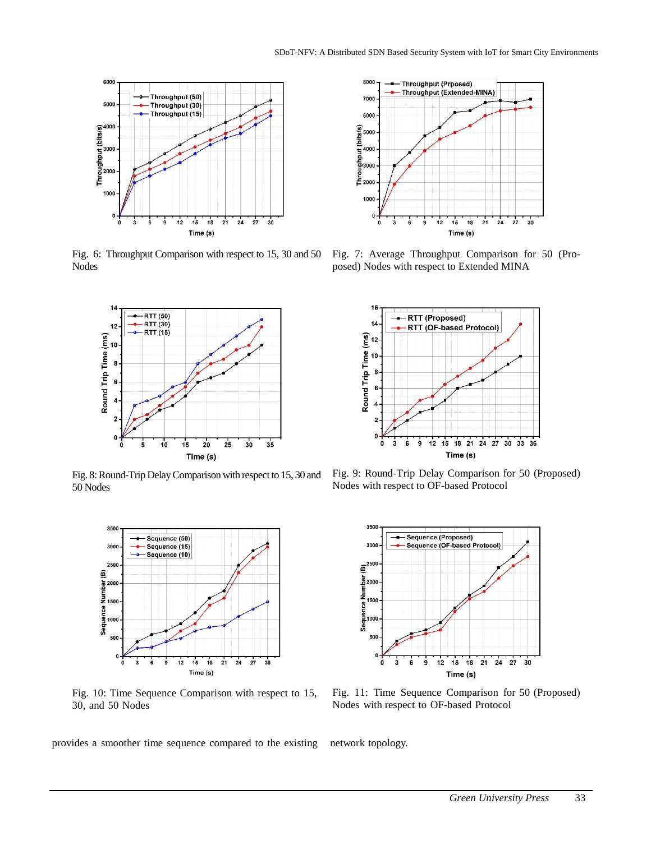

Fig. 6: Throughput Comparison with respect to 15, 30 and 50 Nodes



Fig. 8: Round-Trip Delay Comparison with respect to 15, 30 and 50 Nodes



Fig. 10: Time Sequence Comparison with respect to 15, 30, and 50 Nodes

provides a smoother time sequence compared to the existing network topology.



Fig. 7: Average Throughput Comparison for 50 (Proposed) Nodes with respect to Extended MINA



Fig. 9: Round-Trip Delay Comparison for 50 (Proposed) Nodes with respect to OF-based Protocol



Fig. 11: Time Sequence Comparison for 50 (Proposed) Nodes with respect to OF-based Protocol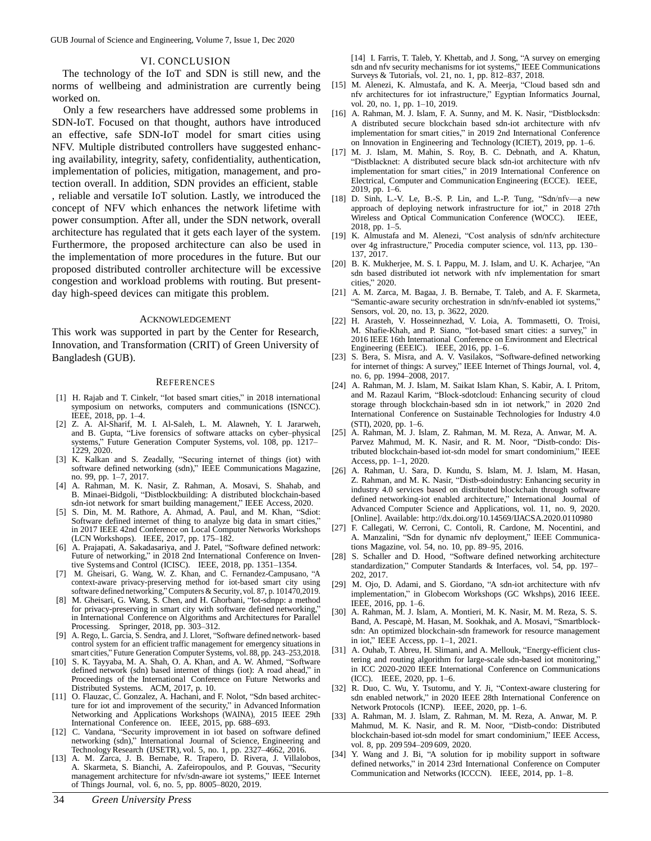GUB Journal of Science and Engineering, Volume 7, Issue 1, Dec 2020

#### VI. CONCLUSION

The technology of the IoT and SDN is still new, and the norms of wellbeing and administration are currently being worked on.

Only a few researchers have addressed some problems in SDN-IoT. Focused on that thought, authors have introduced an effective, safe SDN-IoT model for smart cities using NFV. Multiple distributed controllers have suggested enhancing availability, integrity, safety, confidentiality, authentication, implementation of policies, mitigation, management, and protection overall. In addition, SDN provides an efficient, stable , reliable and versatile IoT solution. Lastly, we introduced the concept of NFV which enhances the network lifetime with power consumption. After all, under the SDN network, overall architecture has regulated that it gets each layer of the system. Furthermore, the proposed architecture can also be used in the implementation of more procedures in the future. But our proposed distributed controller architecture will be excessive congestion and workload problems with routing. But presentday high-speed devices can mitigate this problem.

#### ACKNOWLEDGEMENT

This work was supported in part by the Center for Research, Innovation, and Transformation (CRIT) of Green University of Bangladesh (GUB).

#### **REFERENCES**

- [1] H. Rajab and T. Cinkelr, "Iot based smart cities," in 2018 international symposium on networks, computers and communications (ISNCC). IEEE, 2018, pp. 1–4.
- [2] Z. A. Al-Sharif, M. I. Al-Saleh, L. M. Alawneh, Y. I. Jararweh, and B. Gupta, "Live forensics of software attacks on cyber–physical systems," Future Generation Computer Systems, vol. 108, pp. 1217– 1229, 2020.
- [3] K. Kalkan and S. Zeadally, "Securing internet of things (iot) with software defined networking (sdn)," IEEE Communications Magazine, no. 99, pp. 1–7, 2017.
- [4] A. Rahman, M. K. Nasir, Z. Rahman, A. Mosavi, S. Shahab, and B. Minaei-Bidgoli, "Distblockbuilding: A distributed blockchain-based sdn-iot network for smart building management," IEEE Access, 2020.
- [5] S. Din, M. M. Rathore, A. Ahmad, A. Paul, and M. Khan, "Sdiot: Software defined internet of thing to analyze big data in smart cities,' in 2017 IEEE 42nd Conference on Local Computer Networks Workshops (LCN Workshops). IEEE, 2017, pp. 175–182.
- [6] A. Prajapati, A. Sakadasariya, and J. Patel, "Software defined network: Future of networking," in 2018 2nd International Conference on Inventive Systems and Control (ICISC). IEEE, 2018, pp. 1351–1354.
- [7] M. Gheisari, G. Wang, W. Z. Khan, and C. Fernandez-Campusano, "A context-aware privacy-preserving method for iot-based smart city using software defined networking," Computers & Security, vol. 87, p. 101470,2019.
- [8] M. Gheisari, G. Wang, S. Chen, and H. Ghorbani, "Iot-sdnpp: a method for privacy-preserving in smart city with software defined networking,' in International Conference on Algorithms and Architectures for Parallel Processing. Springer, 2018, pp. 303-312. Springer, 2018, pp. 303–312.
- [9] A. Rego, L. Garcia, S. Sendra, and J. Lloret, "Software defined network- based control system for an efficient traffic management for emergency situations in smart cities," Future Generation Computer Systems, vol. 88, pp. 243–253,2018.
- [10] S. K. Tayyaba, M. A. Shah, O. A. Khan, and A. W. Ahmed, "Software defined network (sdn) based internet of things (iot): A road ahead," in Proceedings of the International Conference on Future Networks and Distributed Systems. ACM, 2017, p. 10.
- [11] O. Flauzac, C. Gonzalez, A. Hachani, and F. Nolot, "Sdn based architecture for iot and improvement of the security," in Advanced Information Networking and Applications Workshops (WAINA), 2015 IEEE 29th International Conference on. IEEE, 2015, pp. 688–693.
- [12] C. Vandana, "Security improvement in iot based on software defined networking (sdn)," International Journal of Science, Engineering and Technology Research (IJSETR), vol. 5, no. 1, pp. 2327–4662, 2016.
- [13] A. M. Zarca, J. B. Bernabe, R. Trapero, D. Rivera, J. Villalobos, A. Skarmeta, S. Bianchi, A. Zafeiropoulos, and P. Gouvas, "Security management architecture for nfv/sdn-aware iot systems," IEEE Internet of Things Journal, vol. 6, no. 5, pp. 8005–8020, 2019.

[14] I. Farris, T. Taleb, Y. Khettab, and J. Song, "A survey on emerging sdn and nfv security mechanisms for iot systems," IEEE Communications Surveys & Tutorials, vol. 21, no. 1, pp. 812–837, 2018.

- [15] M. Alenezi, K. Almustafa, and K. A. Meerja, "Cloud based sdn and nfv architectures for iot infrastructure," Egyptian Informatics Journal, vol. 20, no. 1, pp. 1–10, 2019.
- [16] A. Rahman, M. J. Islam, F. A. Sunny, and M. K. Nasir, "Distblocksdn: A distributed secure blockchain based sdn-iot architecture with nfv implementation for smart cities," in 2019 2nd International Conference on Innovation in Engineering and Technology (ICIET), 2019, pp. 1–6.
- [17] M. J. Islam, M. Mahin, S. Roy, B. C. Debnath, and A. Khatun, "Distblacknet: A distributed secure black sdn-iot architecture with nfv implementation for smart cities," in 2019 International Conference on Electrical, Computer and Communication Engineering (ECCE). IEEE, 2019, pp. 1–6.
- [18] D. Sinh, L.-V. Le, B.-S. P. Lin, and L.-P. Tung, "Sdn/nfv—a new approach of deploying network infrastructure for iot," in 2018 27th Wireless and Optical Communication Conference (WOCC). IEEE, 2018, pp. 1–5.
- [19] K. Almustafa and M. Alenezi, "Cost analysis of sdn/nfv architecture over 4g infrastructure," Procedia computer science, vol. 113, pp. 130– 137, 2017.
- [20] B. K. Mukherjee, M. S. I. Pappu, M. J. Islam, and U. K. Acharjee, "An sdn based distributed iot network with nfv implementation for smart cities," 2020.
- [21] A. M. Zarca, M. Bagaa, J. B. Bernabe, T. Taleb, and A. F. Skarmeta, "Semantic-aware security orchestration in sdn/nfv-enabled iot systems," Sensors, vol. 20, no. 13, p. 3622, 2020.
- [22] H. Arasteh, V. Hosseinnezhad, V. Loia, A. Tommasetti, O. Troisi, M. Shafie-Khah, and P. Siano, "Iot-based smart cities: a survey," in 2016 IEEE 16th International Conference on Environment and Electrical Engineering (EEEIC). IEEE, 2016, pp. 1–6.
- [23] S. Bera, S. Misra, and A. V. Vasilakos, "Software-defined networking for internet of things: A survey," IEEE Internet of Things Journal, vol. 4, no. 6, pp. 1994–2008, 2017.
- [24] A. Rahman, M. J. Islam, M. Saikat Islam Khan, S. Kabir, A. I. Pritom, and M. Razaul Karim, "Block-sdotcloud: Enhancing security of cloud storage through blockchain-based sdn in iot network," in 2020 2nd International Conference on Sustainable Technologies for Industry 4.0 (STI), 2020, pp. 1–6.
- [25] A. Rahman, M. J. Islam, Z. Rahman, M. M. Reza, A. Anwar, M. A. Parvez Mahmud, M. K. Nasir, and R. M. Noor, "Distb-condo: Distributed blockchain-based iot-sdn model for smart condominium," IEEE Access, pp. 1–1, 2020.
- [26] A. Rahman, U. Sara, D. Kundu, S. Islam, M. J. Islam, M. Hasan, Z. Rahman, and M. K. Nasir, "Distb-sdoindustry: Enhancing security in industry 4.0 services based on distributed blockchain through software defined networking-iot enabled architecture," International Journal of Advanced Computer Science and Applications, vol. 11, no. 9, 2020. [Online]. Available: [http://dx.doi.org/10.14569/IJ](http://dx.doi.org/10.14569/)ACSA.2020.0110980
- [27] F. Callegati, W. Cerroni, C. Contoli, R. Cardone, M. Nocentini, and A. Manzalini, "Sdn for dynamic nfv deployment," IEEE Communications Magazine, vol. 54, no. 10, pp. 89–95, 2016.
- [28] S. Schaller and D. Hood, "Software defined networking architecture standardization," Computer Standards & Interfaces, vol. 54, pp. 197– 202, 2017.
- [29] M. Ojo, D. Adami, and S. Giordano, "A sdn-iot architecture with nfv implementation," in Globecom Workshops (GC Wkshps), 2016 IEEE. IEEE, 2016, pp. 1–6.
- [30] A. Rahman, M. J. Islam, A. Montieri, M. K. Nasir, M. M. Reza, S. S. Band, A. Pescapè, M. Hasan, M. Sookhak, and A. Mosavi, "Smartblocksdn: An optimized blockchain-sdn framework for resource management in iot," IEEE Access, pp. 1–1, 2021.
- [31] A. Ouhab, T. Abreu, H. Slimani, and A. Mellouk, "Energy-efficient clustering and routing algorithm for large-scale sdn-based iot monitoring," in ICC 2020-2020 IEEE International Conference on Communications (ICC). IEEE, 2020, pp. 1–6.
- [32] R. Duo, C. Wu, Y. Tsutomu, and Y. Ji, "Context-aware clustering for sdn enabled network," in 2020 IEEE 28th International Conference on Network Protocols (ICNP). IEEE, 2020, pp. 1–6.
- [33] A. Rahman, M. J. Islam, Z. Rahman, M. M. Reza, A. Anwar, M. P. Mahmud, M. K. Nasir, and R. M. Noor, "Distb-condo: Distributed blockchain-based iot-sdn model for smart condominium," IEEE Access, vol. 8, pp. 209 594–209 609, 2020.
- [34] Y. Wang and J. Bi, "A solution for ip mobility support in software defined networks," in 2014 23rd International Conference on Computer Communication and Networks (ICCCN). IEEE, 2014, pp. 1–8.